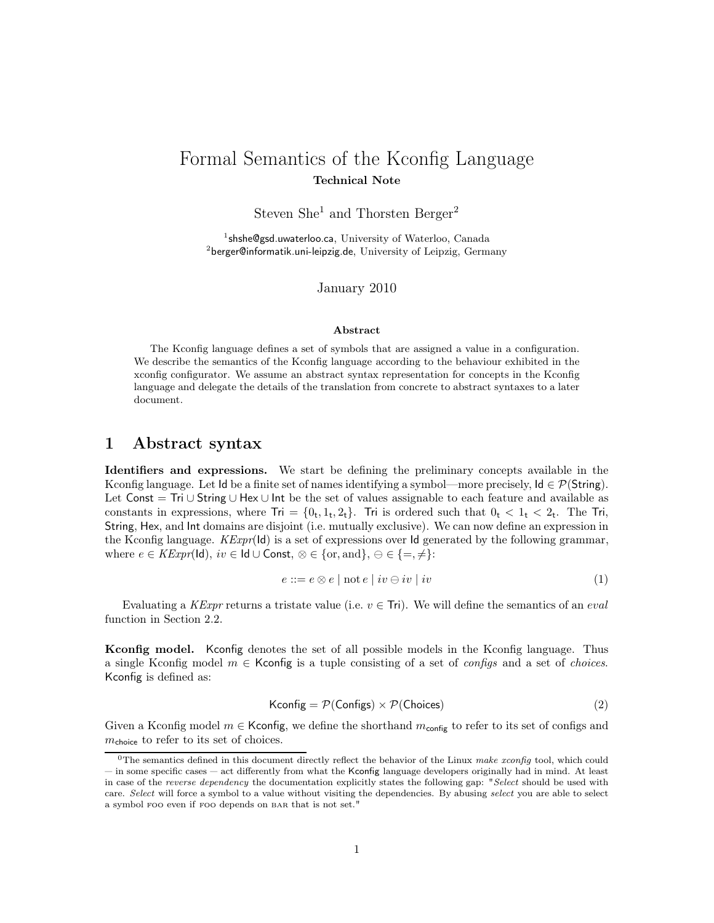# Formal Semantics of the Kconfig Language Technical Note

Steven  $She<sup>1</sup>$  and Thorsten Berger<sup>2</sup>

<sup>1</sup>shshe@gsd.uwaterloo.ca, University of Waterloo, Canada <sup>2</sup>berger@informatik.uni-leipzig.de, University of Leipzig, Germany

January 2010

#### Abstract

The Kconfig language defines a set of symbols that are assigned a value in a configuration. We describe the semantics of the Kconfig language according to the behaviour exhibited in the xconfig configurator. We assume an abstract syntax representation for concepts in the Kconfig language and delegate the details of the translation from concrete to abstract syntaxes to a later document.

## 1 Abstract syntax

Identifiers and expressions. We start be defining the preliminary concepts available in the Kconfig language. Let Id be a finite set of names identifying a symbol—more precisely,  $Id \in \mathcal{P}(\mathsf{String})$ . Let Const = Tri ∪ String ∪ Hex ∪ Int be the set of values assignable to each feature and available as constants in expressions, where  $\text{Tri} = \{0_t, 1_t, 2_t\}$ . Tri is ordered such that  $0_t < 1_t < 2_t$ . The Tri, String, Hex, and Int domains are disjoint (i.e. mutually exclusive). We can now define an expression in the Kconfig language.  $KExpr(\mathsf{Id})$  is a set of expressions over Id generated by the following grammar, where  $e \in \mathit{KExpr}(\mathsf{Id}), iv \in \mathsf{Id} \cup \mathsf{Const}, \otimes \in \{\text{or}, \text{and}\}, \ominus \in \{\equiv, \neq\}$ :

$$
e ::= e \otimes e \mid \text{not } e \mid iv \ominus iv \mid iv \tag{1}
$$

Evaluating a KExpr returns a tristate value (i.e.  $v \in \text{Tri}$ ). We will define the semantics of an eval function in Section 2.2.

Kconfig model. Kconfig denotes the set of all possible models in the Kconfig language. Thus a single Kconfig model  $m \in$  Kconfig is a tuple consisting of a set of *configs* and a set of *choices*. Kconfig is defined as:

$$
Kconfig = P(Configs) \times P(Choices)
$$
 (2)

Given a Kconfig model  $m \in$  Kconfig, we define the shorthand  $m_{\text{config}}$  to refer to its set of configs and  $m_{\text{choice}}$  to refer to its set of choices.

<sup>&</sup>lt;sup>0</sup>The semantics defined in this document directly reflect the behavior of the Linux make xconfig tool, which could in some specific cases act differently from what the Kconfig language developers originally had in mind. At least in case of the reverse dependency the documentation explicitly states the following gap: "Select should be used with care. Select will force a symbol to a value without visiting the dependencies. By abusing select you are able to select a symbol foo even if foo depends on bar that is not set."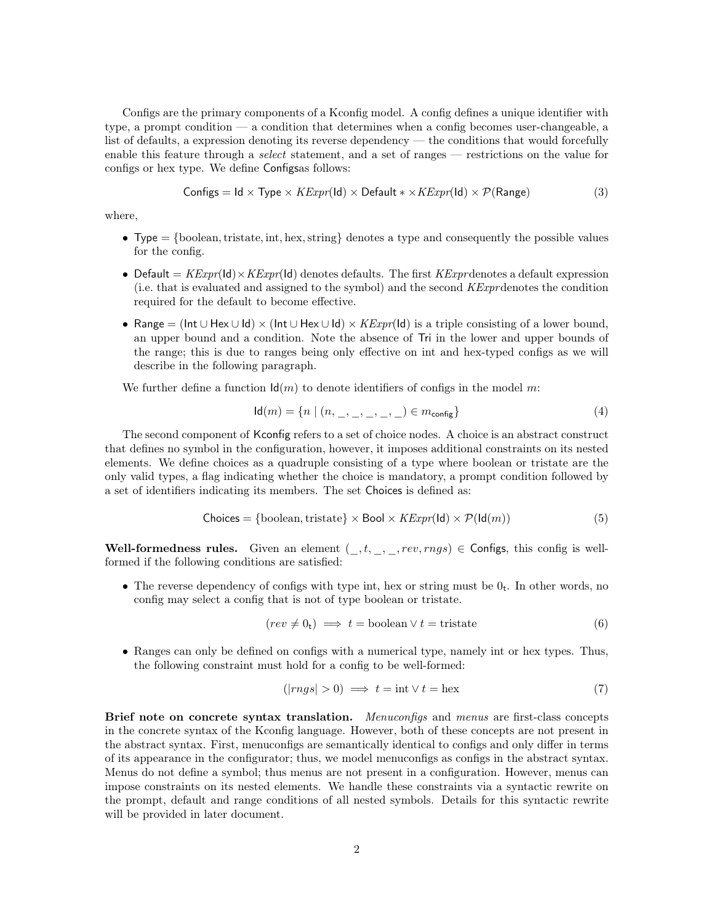Configs are the primary components of a Kconfig model. A config defines a unique identifier with type, a prompt condition — a condition that determines when a config becomes user-changeable, a list of defaults, a expression denoting its reverse dependency — the conditions that would forcefully enable this feature through a *select* statement, and a set of ranges — restrictions on the value for configs or hex type. We define Configsas follows:

Configs = Id × Type × 
$$
KExpr(\text{Id}) \times \text{Default} * \times KExpr(\text{Id}) \times \mathcal{P}(\text{Range})
$$
 (3)

where,

- Type  $=\{\text{boolean}, \text{tristate}, \text{int}, \text{hex}, \text{string}\}\$  denotes a type and consequently the possible values for the config.
- Default =  $KExpr(\mathsf{Id}) \times KExpr(\mathsf{Id})$  denotes defaults. The first  $KExpr$  denotes a default expression (i.e. that is evaluated and assigned to the symbol) and the second KExprdenotes the condition required for the default to become effective.
- Range = ( $Int \cup Hex \cup Id$ ) × ( $Int \cup Hex \cup Id$ ) ×  $KExpr (Id)$  is a triple consisting of a lower bound, an upper bound and a condition. Note the absence of Tri in the lower and upper bounds of the range; this is due to ranges being only effective on int and hex-typed configs as we will describe in the following paragraph.

We further define a function  $\mathsf{Id}(m)$  to denote identifiers of configs in the model m:

$$
Id(m) = \{ n \mid (n, \_, \_, \_, \_, \_ ) \in m_{\text{config}} \}
$$
\n(4)

The second component of Kconfig refers to a set of choice nodes. A choice is an abstract construct that defines no symbol in the configuration, however, it imposes additional constraints on its nested elements. We define choices as a quadruple consisting of a type where boolean or tristate are the only valid types, a flag indicating whether the choice is mandatory, a prompt condition followed by a set of identifiers indicating its members. The set Choices is defined as:

$$
Choices = {boolean, tristate} \times \text{Bool} \times \text{KExpr}(\text{Id}) \times \mathcal{P}(\text{Id}(m))
$$
\n(5)

Well-formedness rules. Given an element  $(\_, t, \_, \_, rev, rngs) \in$  Configs, this config is wellformed if the following conditions are satisfied:

• The reverse dependency of configs with type int, hex or string must be  $0_t$ . In other words, no config may select a config that is not of type boolean or tristate.

$$
(rev \neq 0_t) \implies t = \text{boolean} \lor t = \text{tristate}
$$
 (6)

• Ranges can only be defined on configs with a numerical type, namely int or hex types. Thus, the following constraint must hold for a config to be well-formed:

$$
(|rngs| > 0) \implies t = \text{int} \lor t = \text{hex}
$$
\n<sup>(7)</sup>

Brief note on concrete syntax translation. Menuconfigs and menus are first-class concepts in the concrete syntax of the Kconfig language. However, both of these concepts are not present in the abstract syntax. First, menuconfigs are semantically identical to configs and only differ in terms of its appearance in the configurator; thus, we model menuconfigs as configs in the abstract syntax. Menus do not define a symbol; thus menus are not present in a configuration. However, menus can impose constraints on its nested elements. We handle these constraints via a syntactic rewrite on the prompt, default and range conditions of all nested symbols. Details for this syntactic rewrite will be provided in later document.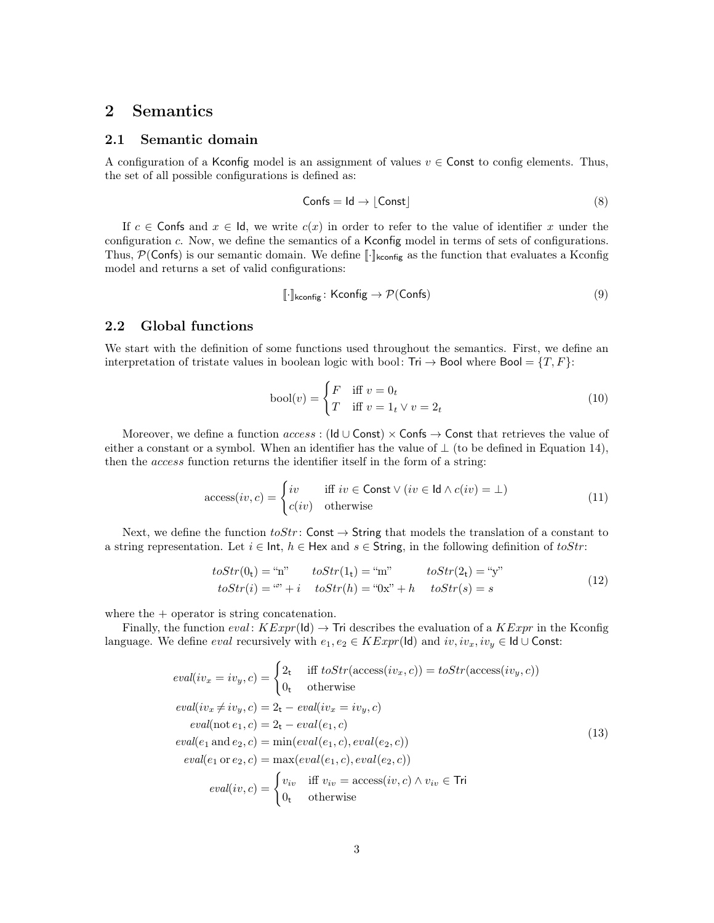## 2 Semantics

#### 2.1 Semantic domain

A configuration of a Kconfig model is an assignment of values  $v \in$  Const to config elements. Thus, the set of all possible configurations is defined as:

$$
Confs = Id \to [Const]
$$
\n(8)

If  $c \in \mathsf{Consts}$  and  $x \in \mathsf{Id}$ , we write  $c(x)$  in order to refer to the value of identifier x under the configuration c. Now, we define the semantics of a Kconfig model in terms of sets of configurations. Thus,  $\mathcal{P}(\text{Confs})$  is our semantic domain. We define  $\lbrack \cdot \rbrack$ <sub>kconfig</sub> as the function that evaluates a Kconfig model and returns a set of valid configurations:

$$
\left[\cdot\right]_{\text{kconfig}} : \text{Kconfig} \to \mathcal{P}(\text{Confs})\tag{9}
$$

### 2.2 Global functions

We start with the definition of some functions used throughout the semantics. First, we define an interpretation of tristate values in boolean logic with bool: Tri  $\rightarrow$  Bool where Bool =  $\{T, F\}$ :

$$
bool(v) = \begin{cases} F & \text{iff } v = 0_t \\ T & \text{iff } v = 1_t \vee v = 2_t \end{cases}
$$
 (10)

Moreover, we define a function  $access$ : (Id ∪ Const)  $\times$  Confs  $\rightarrow$  Const that retrieves the value of either a constant or a symbol. When an identifier has the value of  $\perp$  (to be defined in Equation 14), then the access function returns the identifier itself in the form of a string:

$$
\text{access}(iv, c) = \begin{cases} iv & \text{iff } iv \in \text{Const} \lor (iv \in \text{Id} \land c(iv) = \bot) \\ c(iv) & \text{otherwise} \end{cases} \tag{11}
$$

Next, we define the function  $toStr$ : Const  $\rightarrow$  String that models the translation of a constant to a string representation. Let  $i \in \text{Int}$ ,  $h \in \text{Hex}$  and  $s \in \text{String}$ , in the following definition of toStr:

$$
toStr(0t) = "n" \tto Str(1t) = "m" \tto Str(2t) = "y"\ntoStr(i) = "n" + i \tto Str(h) = "0x" + h \tto Str(s) = s
$$
\n(12)

where the  $+$  operator is string concatenation.

Finally, the function  $eval: KExpr(\mathsf{Id}) \to \mathsf{Tri}$  describes the evaluation of a  $KExpr$  in the Kconfig language. We define *eval* recursively with  $e_1, e_2 \in KExpr(\mathsf{Id})$  and  $iv, iv_x, iv_y \in \mathsf{Id} \cup \mathsf{Const}:$ 

$$
eval(iv_x = iv_y, c) = \begin{cases} 2_t & \text{iff } toStr(\mathcal{acc}ss(iv_x, c)) = toStr(\mathcal{acc}ss(iv_y, c)) \\ 0_t & \text{otherwise} \end{cases}
$$
  
\n
$$
eval(iv_x \neq iv_y, c) = 2_t - eval(iv_x = iv_y, c)
$$
  
\n
$$
eval(\text{not } e_1, c) = 2_t - eval(e_1, c)
$$
  
\n
$$
eval(e_1 \text{ and } e_2, c) = \min(eval(e_1, c), eval(e_2, c))
$$
  
\n
$$
eval(e_1 \text{ or } e_2, c) = \max(eval(e_1, c), eval(e_2, c))
$$
  
\n
$$
eval(iv, c) = \begin{cases} v_{iv} & \text{iff } v_{iv} = \mathcal{acc} \text{ess}(iv, c) \land v_{iv} \in \text{Tri} \\ 0_t & \text{otherwise} \end{cases}
$$
  
\n(13)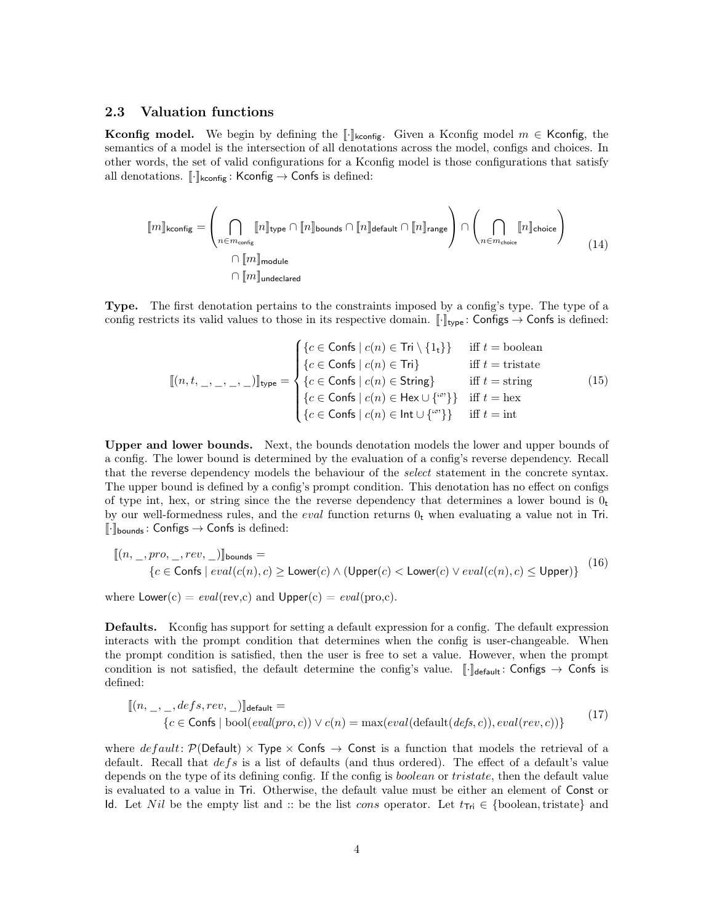### 2.3 Valuation functions

**Kconfig model.** We begin by defining the [·]<sub>kconfig</sub>. Given a Kconfig model  $m \in$  Kconfig, the semantics of a model is the intersection of all denotations across the model, configs and choices. In other words, the set of valid configurations for a Kconfig model is those configurations that satisfy all denotations.  $[\![\cdot]\!]_{\text{kconfig}}$ : Kconfig  $\rightarrow$  Confs is defined:

$$
[\![m]\!]_{\text{kconfig}} = \left(\bigcap_{n \in m_{\text{config}}}\!\!\![n]\!]_{\text{type}} \cap [\![n]\!]_{\text{bounds}} \cap [\![n]\!]_{\text{default}} \cap [\![n]\!]_{\text{range}}\right) \cap \left(\bigcap_{n \in m_{\text{choice}}} [\![n]\!]_{\text{choice}}\right) \tag{14}
$$
\n
$$
\cap [\![m]\!]_{\text{module}}
$$

Type. The first denotation pertains to the constraints imposed by a config's type. The type of a config restricts its valid values to those in its respective domain.  $[\![\cdot]\!]_{\text{type}}$ : Configs  $\rightarrow$  Confs is defined:

$$
\llbracket (n, t, \_, \_, \_, \_) \rrbracket_{\text{type}} = \begin{cases} \n\{c \in \text{Confs} \mid c(n) \in \text{Tri} \setminus \{1_t\}\} & \text{iff } t = \text{boolean} \\
\{c \in \text{Confs} \mid c(n) \in \text{Tri}\} & \text{iff } t = \text{tristate} \\
\{c \in \text{Confs} \mid c(n) \in \text{String}\} & \text{iff } t = \text{string} \\
\{c \in \text{Confs} \mid c(n) \in \text{Hex} \cup \{^{(n)}\}\} & \text{iff } t = \text{hex} \\
\{c \in \text{Confs} \mid c(n) \in \text{Int} \cup \{^{(n)}\}\} & \text{iff } t = \text{int}\n\end{cases} \tag{15}
$$

Upper and lower bounds. Next, the bounds denotation models the lower and upper bounds of a config. The lower bound is determined by the evaluation of a config's reverse dependency. Recall that the reverse dependency models the behaviour of the *select* statement in the concrete syntax. The upper bound is defined by a config's prompt condition. This denotation has no effect on configs of type int, hex, or string since the the reverse dependency that determines a lower bound is  $0<sub>t</sub>$ by our well-formedness rules, and the *eval* function returns  $0<sub>t</sub>$  when evaluating a value not in Tri.  $\lbrack \cdot \rbrack$ <sub>bounds</sub>: Configs  $\rightarrow$  Confs is defined:

$$
\begin{aligned} [[(n, \_, pro, \_, rev, \_)]_{\text{bounds}} &= \\ &\{c \in \text{Confs} \mid eval(c(n), c) \ge \text{Lower}(c) \land (\text{Upper}(c) < \text{Lower}(c) \lor eval(c(n), c) \le \text{Upper})\} \end{aligned} \tag{16}
$$

where  $Lower(c) = eval(rev, c)$  and  $Upper(c) = eval(pro, c)$ .

Defaults. Kconfig has support for setting a default expression for a config. The default expression interacts with the prompt condition that determines when the config is user-changeable. When the prompt condition is satisfied, then the user is free to set a value. However, when the prompt condition is not satisfied, the default determine the config's value. [ $\cdot$ ] default: Configs  $\rightarrow$  Confs is defined:

$$
[(n, \_, \_, \_{}defs, rev, \_)]_{\text{default}} =\n \{c \in \text{Consts} \mid \text{bool}(eval(pro, c)) \lor c(n) = \max(eval(\text{default}(defs, c)), eval(rev, c))\}\n \tag{17}
$$

where  $default: \mathcal{P}(Default) \times Type \times Const \rightarrow$  Const is a function that models the retrieval of a default. Recall that  $defs$  is a list of defaults (and thus ordered). The effect of a default's value depends on the type of its defining config. If the config is *boolean* or *tristate*, then the default value is evaluated to a value in Tri. Otherwise, the default value must be either an element of Const or Id. Let Nil be the empty list and :: be the list cons operator. Let  $t_{\text{Tri}} \in \{\text{boolean}, \text{tristate}\}$  and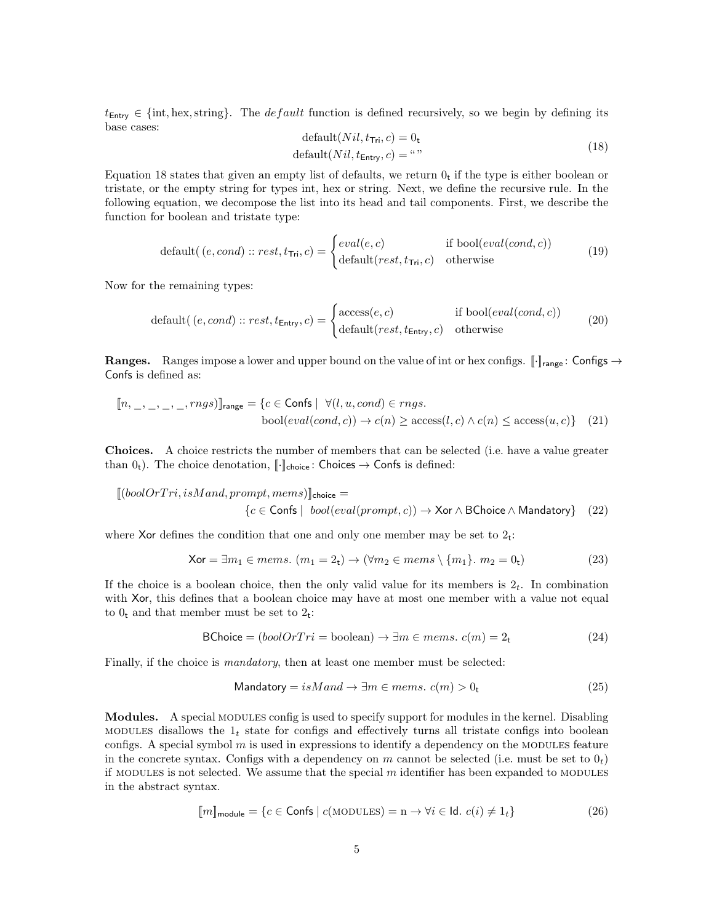$t_{\text{Entry}} \in \{\text{int}, \text{hex}, \text{string}\}.$  The *default* function is defined recursively, so we begin by defining its base cases:  $\begin{bmatrix} 1 & 0 \\ 1 & 1 \end{bmatrix}$ 

$$
\text{default}(Nil, t_{\text{Tri}}, c) = 0_t
$$
\n
$$
\text{default}(Nil, t_{\text{Entry}}, c) = \text{``''}
$$
\n
$$
(18)
$$

Equation 18 states that given an empty list of defaults, we return  $0<sub>t</sub>$  if the type is either boolean or tristate, or the empty string for types int, hex or string. Next, we define the recursive rule. In the following equation, we decompose the list into its head and tail components. First, we describe the function for boolean and tristate type:

$$
default( (e, cond) :: rest, t_{\text{Tri}}, c) = \begin{cases} eval(e, c) & \text{if } bool(eval(cond, c)) \\ default(rest, t_{\text{Tri}}, c) & \text{otherwise} \end{cases}
$$
(19)

Now for the remaining types:

$$
default((e, cond) :: rest, t_{\text{Entry}}, c) = \begin{cases} access(e, c) & \text{if } bool(eval(cond, c)) \\ default(rest, t_{\text{Entry}}, c) & \text{otherwise} \end{cases}
$$
(20)

**Ranges.** Ranges impose a lower and upper bound on the value of int or hex configs.  $\lceil \cdot \rceil_{\text{range}}$ : Configs  $\rightarrow$ Confs is defined as:

[[n, \_, \_, \_, \_, rngs)]]range = {c ∈ Confs | ∀(l, u, cond) ∈ rngs. bool(eval(cond, c)) → c(n) ≥ access(l, c) ∧ c(n) ≤ access(u, c)} (21)

Choices. A choice restricts the number of members that can be selected (i.e. have a value greater than  $0_t$ ). The choice denotation,  $\llbracket \cdot \rrbracket_{\text{choice}}$ : Choices  $\rightarrow$  Confs is defined:

$$
[(boolOrTri, isM and, prompt, mems)]_{choice} =
$$
\n
$$
{c \in \text{Consts} \mid bool(eval(prompt, c)) \to \text{Xor} \land \text{BChoice} \land \text{Mandatory} \quad (22)}
$$

where Xor defines the condition that one and only one member may be set to  $2_t$ :

$$
\mathsf{Xor} = \exists m_1 \in mems. \ (m_1 = 2_t) \to (\forall m_2 \in mems \setminus \{m_1\}. \ m_2 = 0_t)
$$
 (23)

If the choice is a boolean choice, then the only valid value for its members is  $2<sub>t</sub>$ . In combination with Xor, this defines that a boolean choice may have at most one member with a value not equal to  $0_t$  and that member must be set to  $2_t$ :

$$
BChoice = (boolOrTri = boolean) \rightarrow \exists m \in mems. \ c(m) = 2_t \tag{24}
$$

Finally, if the choice is *mandatory*, then at least one member must be selected:

$$
\text{Mandatory} = isM \text{ and } \rightarrow \exists m \in \text{mems. } c(m) > 0_t \tag{25}
$$

Modules. A special modules config is used to specify support for modules in the kernel. Disabling MODULES disallows the  $1<sub>t</sub>$  state for configs and effectively turns all tristate configs into boolean configs. A special symbol  $m$  is used in expressions to identify a dependency on the MODULES feature in the concrete syntax. Configs with a dependency on m cannot be selected (i.e. must be set to  $0<sub>t</sub>$ ) if MODULES is not selected. We assume that the special  $m$  identifier has been expanded to MODULES in the abstract syntax.

$$
\llbracket m \rrbracket_{\text{module}} = \{ c \in \text{Confs} \mid c(\text{MODULEs}) = n \to \forall i \in \text{Id. } c(i) \neq 1_t \} \tag{26}
$$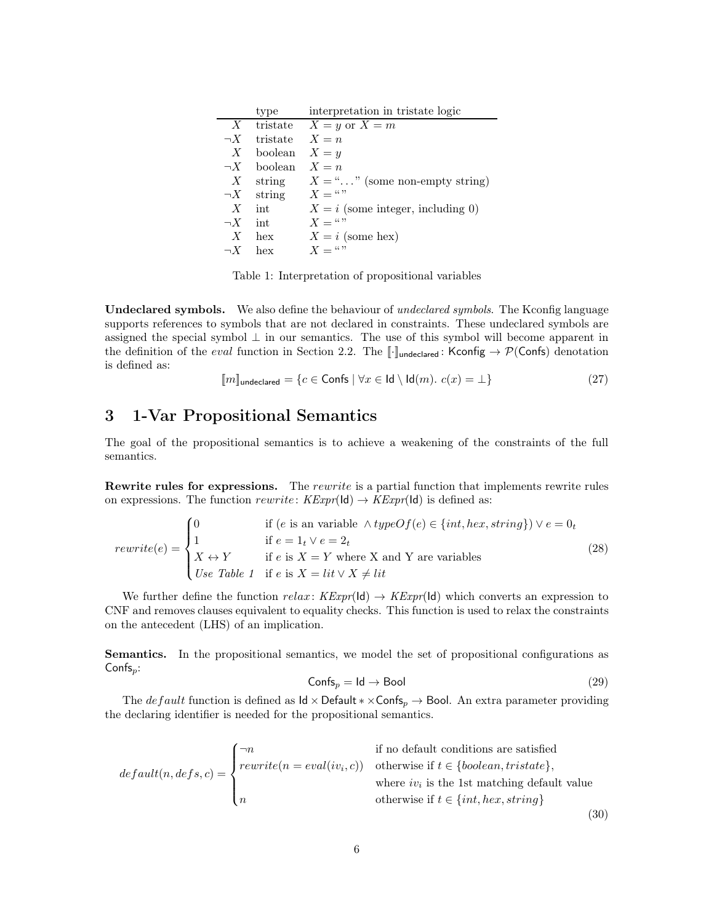|          | type             | interpretation in tristate logic          |
|----------|------------------|-------------------------------------------|
|          |                  | X tristate $X = y$ or $X = m$             |
| $\neg X$ | tristate $X = n$ |                                           |
| X        | boolean $X = y$  |                                           |
| $\neg X$ | boolean          | $X = n$                                   |
|          |                  | X string $X =$ "" (some non-empty string) |
|          | $\neg X$ string  | $X = ``$                                  |
| X        | int              | $X = i$ (some integer, including 0)       |
| $\neg X$ | int              | $X = ``$                                  |
| X        | hex              | $X = i$ (some hex)                        |
| $\neg X$ | hex              | $X = ``$                                  |

Table 1: Interpretation of propositional variables

Undeclared symbols. We also define the behaviour of undeclared symbols. The Kconfig language supports references to symbols that are not declared in constraints. These undeclared symbols are assigned the special symbol  $\perp$  in our semantics. The use of this symbol will become apparent in the definition of the *eval* function in Section 2.2. The  $\llbracket \cdot \rrbracket$ <sub>undeclared</sub>: Kconfig  $\rightarrow \mathcal{P}(\mathsf{Confs})$  denotation is defined as:

$$
[\![m]\!]_{\text{undeclared}} = \{c \in \text{Confs} \mid \forall x \in \text{Id} \setminus \text{Id}(m). \ c(x) = \bot\} \tag{27}
$$

# 3 1-Var Propositional Semantics

The goal of the propositional semantics is to achieve a weakening of the constraints of the full semantics.

**Rewrite rules for expressions.** The rewrite is a partial function that implements rewrite rules on expressions. The function rewrite:  $KExpr(\mathsf{Id}) \to KExpr(\mathsf{Id})$  is defined as:

$$
rewrite(e) = \begin{cases} 0 & \text{if } (e \text{ is an variable } \land typeOf(e) \in \{int, hex, string\}) \lor e = 0_t \\ 1 & \text{if } e = 1_t \lor e = 2_t \\ X \leftrightarrow Y & \text{if } e \text{ is } X = Y \text{ where X and Y are variables} \\ Use Table 1 & \text{if } e \text{ is } X = lit \lor X \neq lit \end{cases}
$$
(28)

We further define the function  $relax: KExpr(\mathsf{Id}) \to KExpr(\mathsf{Id})$  which converts an expression to CNF and removes clauses equivalent to equality checks. This function is used to relax the constraints on the antecedent (LHS) of an implication.

Semantics. In the propositional semantics, we model the set of propositional configurations as  $Confs_p$ :

$$
\mathsf{Confs}_p = \mathsf{Id} \to \mathsf{Bool} \tag{29}
$$

The *def ault* function is defined as  $\mathsf{Id} \times \mathsf{Default} \times \times \mathsf{Confs}_p \to \mathsf{Bool}$ . An extra parameter providing the declaring identifier is needed for the propositional semantics.

$$
default(n, defs, c) = \begin{cases} \neg n & \text{if no default conditions are satisfied} \\ rewrite(n = eval(iv_i, c)) & \text{otherwise if } t \in \{boolean, tristate\}, \\ n & \text{where } iv_i \text{ is the 1st matching default value} \\ n & \text{otherwise if } t \in \{int, hex, string\} \end{cases}
$$
(30)